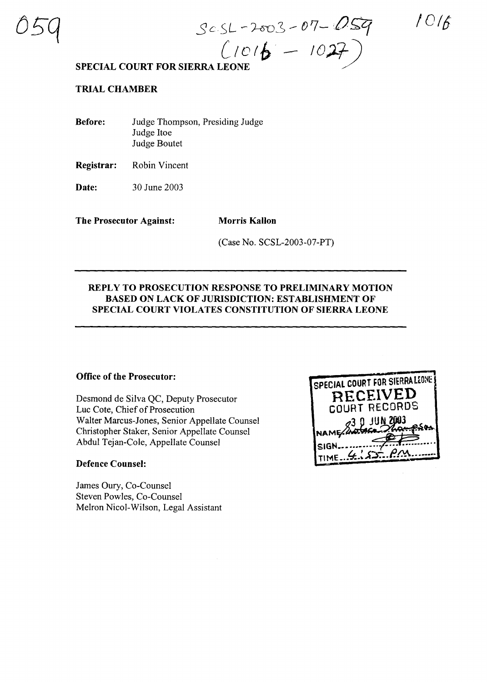/016

 $C1016 - 1027$ **SPECIAL COURT FOR SIERRA LEONE /**

### **TRIAL CHAMBER**

**Before:** Judge Thompson, Presiding Judge Judge Itoe Judge Boutet

**Registrar:** Robin Vincent

**Date:** 30 June 2003

**The Prosecutor Against: Morris Kallon**

(Case No. SCSL-2003-07-PT)

 $s$  c SL - 2003 - 07 - 059

#### **REPLY TO PROSECUTION RESPONSE TO PRELIMINARY MOTION BASED ON LACK OF JURISDICTION: ESTABLISHMENT OF SPECIAL COURT VIOLATES CONSTITUTION OF SIERRA LEONE**

#### **Office of the Prosecutor:**

Desmond de Silva QC, Deputy Prosecutor Luc Cote, Chief of Prosecution Walter Marcus-Jones, Senior Appellate Counsel Christopher Staker, Senior Appellate Counsel Abdul Tejan-Cole, Appellate Counsel

#### **Defence Counsel:**

James Oury, Co-Counsel Steven Powles, Co-Counsel Melron Nicol-Wilson, Legal Assistant

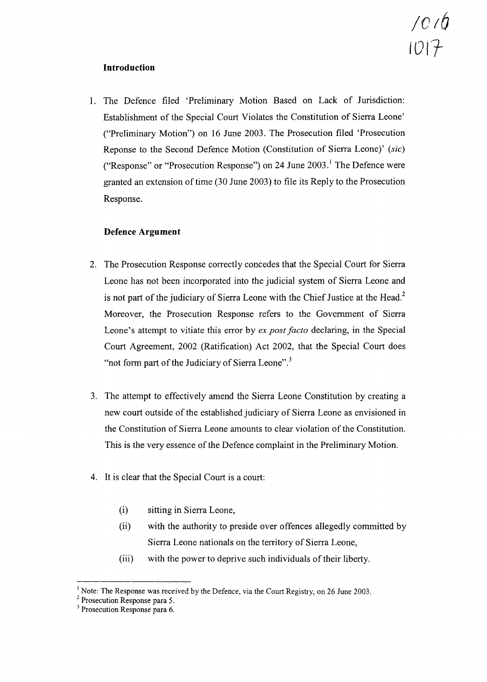# */016* 101 ${\cal H}$

# **Introduction**

1. The Defence filed 'Preliminary Motion Based on Lack of Jurisdiction: Establishment of the Special Court Violates the Constitution of Sierra Leone' ("Preliminary Motion") on 16 June 2003. The Prosecution filed 'Prosecution Reponse to the Second Defence Motion (Constitution of Sierra Leone)' *(sic)* ("Response" or "Prosecution Response") on 24 June  $2003$ .<sup>1</sup> The Defence were granted an extension of time (30 June 2003) to file its Reply to the Prosecution Response.

## **Defence Argument**

- 2. The Prosecution Response correctly concedes that the Special Court for Sierra Leone has not been incorporated into the judicial system of Sierra Leone and is not part of the judiciary of Sierra Leone with the Chief Justice at the Head.<sup>2</sup> Moreover, the Prosecution Response refers to the Government of Sierra Leone's attempt to vitiate this error by *ex post facto* declaring, in the Special Court Agreement, 2002 (Ratification) Act 2002, that the Special Court does "not form part of the Judiciary of Sierra Leone". $3$
- 3. The attempt to effectively amend the Sierra Leone Constitution by creating a new court outside of the established judiciary of Sierra Leone as envisioned in the Constitution of Sierra Leone amounts to clear violation of the Constitution. This is the very essence of the Defence complaint in the Preliminary Motion.
- 4. It is clear that the Special Court is a court:
	- (i) sitting in Sierra Leone,
	- (ii) with the authority to preside over offences allegedly committed by Sierra Leone nationals on the territory of Sierra Leone,
	- (iii) with the power to deprive such individuals of their liberty.

 $<sup>1</sup>$  Note: The Response was received by the Defence, via the Court Registry, on 26 June 2003.</sup>

<sup>2</sup> Prosecution Response para 5.

<sup>3</sup> Prosecution Response para 6.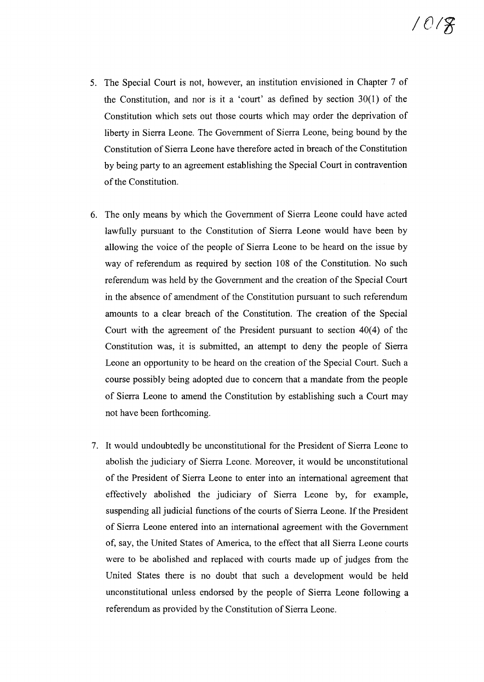- 5. The Special Court is not, however, an institution envisioned in Chapter 7 of the Constitution, and nor is it a 'court' as defined by section  $30(1)$  of the Constitution which sets out those courts which may order the deprivation of liberty in Sierra Leone. The Government of Sierra Leone, being bound by the Constitution of Sierra Leone have therefore acted in breach of the Constitution by being party to an agreement establishing the Special Court in contravention of the Constitution.
- 6. The only means by which the Government of Sierra Leone could have acted lawfully pursuant to the Constitution of Sierra Leone would have been by allowing the voice of the people of Sierra Leone to be heard on the issue by way of referendum as required by section 108 of the Constitution. No such referendum was held by the Government and the creation of the Special Court in the absence of amendment of the Constitution pursuant to such referendum amounts to a clear breach of the Constitution. The creation of the Special Court with the agreement of the President pursuant to section 40(4) of the Constitution was, it is submitted, an attempt to deny the people of Sierra Leone an opportunity to be heard on the creation of the Special Court. Such a course possibly being adopted due to concern that a mandate from the people of Sierra Leone to amend the Constitution by establishing such a Court may not have been forthcoming.
- 7. It would undoubtedly be unconstitutional for the President of Sierra Leone to abolish the judiciary of Sierra Leone. Moreover, it would be unconstitutional of the President of Sierra Leone to enter into an international agreement that effectively abolished the judiciary of Sierra Leone by, for example, suspending all judicial functions of the courts of Sierra Leone. If the President of Sierra Leone entered into an international agreement with the Government of, say, the United States of America, to the effect that all Sierra Leone courts were to be abolished and replaced with courts made up of judges from the United States there is no doubt that such a development would be held unconstitutional unless endorsed by the people of Sierra Leone following a referendum as provided by the Constitution of Sierra Leone.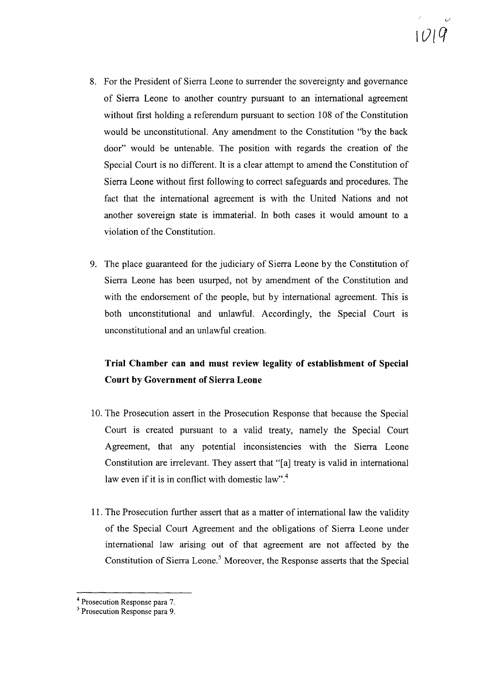- 8. For the President of Sierra Leone to surrender the sovereignty and governance of Sierra Leone to another country pursuant to an international agreement without first holding a referendum pursuant to section 108 of the Constitution would be unconstitutional. Any amendment to the Constitution "by the back door" would be untenable. The position with regards the creation of the Special Court is no different. It is a clear attempt to amend the Constitution of Sierra Leone without first following to correct safeguards and procedures. The fact that the international agreement is with the United Nations and not another sovereign state is immaterial. In both cases it would amount to a violation of the Constitution.
- 9. The place guaranteed for the judiciary of Sierra Leone by the Constitution of Sierra Leone has been usurped, not by amendment of the Constitution and with the endorsement of the people, but by international agreement. This is both unconstitutional and unlawful. Accordingly, the Special Court is unconstitutional and an unlawful creation.

# **Trial Chamber can and must review legality of establishment of Special Court by Government of Sierra Leone**

- 10. The Prosecution assert in the Prosecution Response that because the Special Court is created pursuant to a valid treaty, namely the Special Court Agreement, that any potential inconsistencies with the Sierra Leone Constitution are irrelevant. They assert that "[a] treaty is valid in international law even if it is in conflict with domestic law".<sup>4</sup>
- 11. The Prosecution further assert that as a matter of international law the validity of the Special Court Agreement and the obligations of Sierra Leone under international law arising out of that agreement are not affected by the Constitution of Sierra Leone.<sup>5</sup> Moreover, the Response asserts that the Special

<sup>4</sup> Prosecution Response para 7.

<sup>5</sup> Prosecution Response para 9.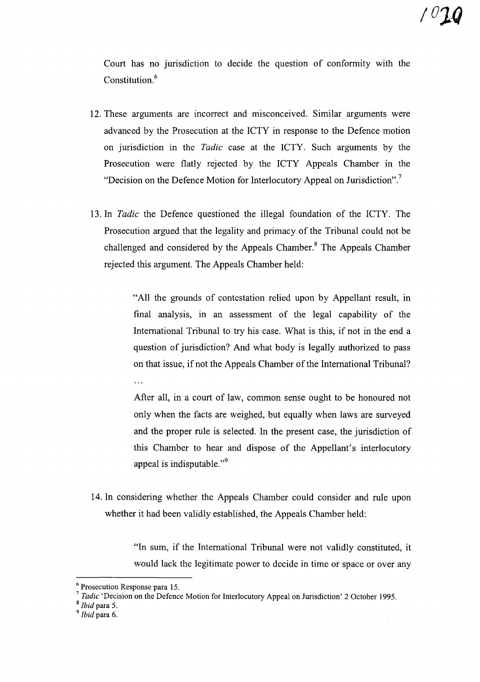Court has no jurisdiction to decide the question of confonnity with the Constitution.<sup>6</sup>

- 12. These arguments are incorrect and misconceived. Similar arguments were advanced by the Prosecution at the ICTY in response to the Defence motion on jurisdiction in the *Tadic* case at the ICTY. Such arguments by the Prosecution were flatly rejected by the ICTY Appeals Chamber in the "Decision on the Defence Motion for Interlocutory Appeal on Jurisdiction".<sup>7</sup>
- 13. In *Tadic* the Defence questioned the illegal foundation of the ICTY. The Prosecution argued that the legality and primacy of the Tribunal could not be challenged and considered by the Appeals Chamber.<sup>8</sup> The Appeals Chamber rejected this argument. The Appeals Chamber held:

"All the grounds of contestation relied upon by Appellant result, in final analysis, in an assessment of the legal capability of the International Tribunal to try his case. What is this, if not in the end a question of jurisdiction? And what body is legally authorized to pass on that issue, if not the Appeals Chamber of the International Tribunal? . . .

After all, in a court of law, common sense ought to be honoured not only when the facts are weighed, but equally when laws are surveyed and the proper rule is selected. In the present case, the jurisdiction of this Chamber to hear and dispose of the Appellant's interlocutory appeal is indisputable. $"$ <sup>9</sup>

14. In considering whether the Appeals Chamber could consider and rule upon whether it had been validly established, the Appeals Chamber held:

> "In sum, if the International Tribunal were not validly constituted, it would lack the legitimate power to decide in time or space or over any

<sup>8</sup> *Ibid* para 5.

<sup>6</sup> Prosecution Response para 15.

*<sup>7</sup> Tadic* 'Decision on the Defence Motion for Interlocutory Appeal on Jurisdiction' 2 October 1995.

*<sup>9</sup> Ibid* para 6.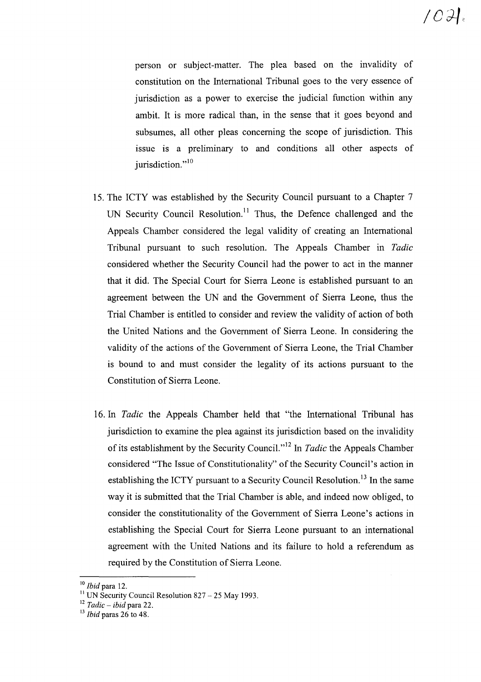person or subject-matter. The plea based on the invalidity of constitution on the International Tribunal goes to the very essence of jurisdiction as a power to exercise the judicial function within any ambit. It is more radical than, in the sense that it goes beyond and subsumes, all other pleas concerning the scope of jurisdiction. This issue is a preliminary to and conditions all other aspects of jurisdiction."<sup>10</sup>

- 15. The ICTY was established by the Security Council pursuant to a Chapter 7 UN Security Council Resolution.<sup>11</sup> Thus, the Defence challenged and the Appeals Chamber considered the legal validity of creating an International Tribunal pursuant to such resolution. The Appeals Chamber in *Tadic* considered whether the Security Council had the power to act in the manner that it did. The Special Court for Sierra Leone is established pursuant to an agreement between the UN and the Government of Sierra Leone, thus the Trial Chamber is entitled to consider and review the validity of action of both the United Nations and the Government of Sierra Leone. In considering the validity of the actions of the Government of Sierra Leone, the Trial Chamber is bound to and must consider the legality of its actions pursuant to the Constitution of Sierra Leone.
- 16. In *Tadic* the Appeals Chamber held that "the International Tribunal has jurisdiction to examine the plea against its jurisdiction based on the invalidity of its establishment by the Security Council.<sup>112</sup> In *Tadic* the Appeals Chamber considered "The Issue of Constitutionality" of the Security Council's action in establishing the ICTY pursuant to a Security Council Resolution.<sup>13</sup> In the same way it is submitted that the Trial Chamber is able, and indeed now obliged, to consider the constitutionality of the Government of Sierra Leone's actions in establishing the Special Court for Sierra Leone pursuant to an international agreement with the United Nations and its failure to hold a referendum as required by the Constitution of Sierra Leone.

<sup>10</sup> *Ibid* para 12.

 $\rm{^{11}}$  UN Security Council Resolution 827 – 25 May 1993.

<sup>12</sup> *Tadic* - *ibid* para 22.

<sup>13</sup> *Ibid* paras 26 to 48.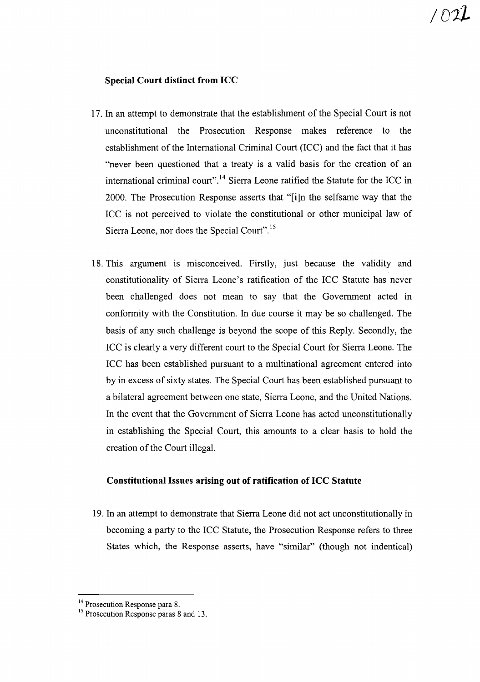### **Special Court distinct from ICC**

- 17. In an attempt to demonstrate that the establishment of the Special Court is not unconstitutional the Prosecution Response makes reference to the establishment of the International Criminal Court (ICC) and the fact that it has "never been questioned that a treaty is a valid basis for the creation of an international criminal court".<sup>14</sup> Sierra Leone ratified the Statute for the ICC in 2000. The Prosecution Response asserts that "[i]n the selfsame way that the ICC is not perceived to violate the constitutional or other municipal law of Sierra Leone, nor does the Special Court".<sup>15</sup>
- 18. This argument is misconceived. Firstly, just because the validity and constitutionality of Sierra Leone's ratification of the ICC Statute has never been challenged does not mean to say that the Government acted in conformity with the Constitution. In due course it may be so challenged. The basis of any such challenge is beyond the scope of this Reply. Secondly, the ICC is clearly a very different court to the Special Court for Sierra Leone. The ICC has been established pursuant to a multinational agreement entered into by in excess of sixty states. The Special Court has been established pursuant to a bilateral agreement between one state, Sierra Leone, and the United Nations. **In** the event that the Government of Sierra Leone has acted unconstitutionally in establishing the Special Court, this amounts to a clear basis to hold the creation of the Court illegal.

#### **Constitutional Issues arising out of ratification of ICC Statute**

19. **In** an attempt to demonstrate that Sierra Leone did not act unconstitutionally in becoming a party to the ICC Statute, the Prosecution Response refers to three States which, the Response asserts, have "similar" (though not indentical)

<sup>&</sup>lt;sup>14</sup> Prosecution Response para 8.

<sup>&</sup>lt;sup>15</sup> Prosecution Response paras 8 and 13.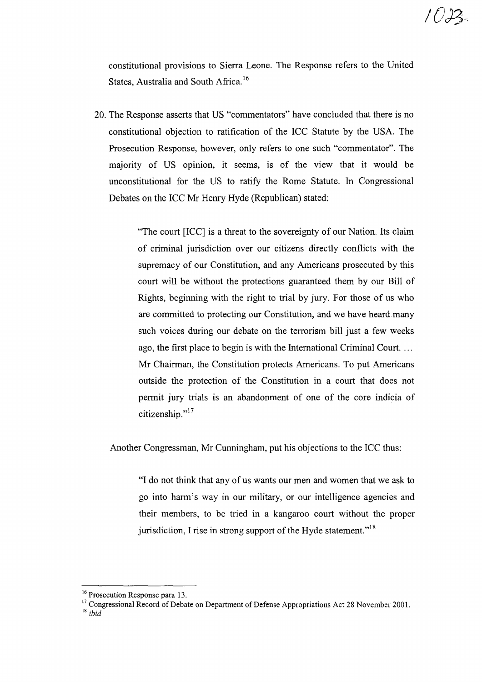constitutional provisions to Sierra Leone. The Response refers to the United States, Australia and South Africa.<sup>16</sup>

20. The Response asserts that US "commentators" have concluded that there is no constitutional objection to ratification of the ICC Statute by the USA. The Prosecution Response, however, only refers to one such "commentator". The majority of US opinion, it seems, is of the view that it would be unconstitutional for the US to ratify the Rome Statute. In Congressional Debates on the ICC Mr Henry Hyde (Republican) stated:

> "The court [ICC] is a threat to the sovereignty of our Nation. Its claim of criminal jurisdiction over our citizens directly conflicts with the supremacy of our Constitution, and any Americans prosecuted by this court will be without the protections guaranteed them by our Bill of Rights, beginning with the right to trial by jury. For those of us who are committed to protecting our Constitution, and we have heard.many such voices during our debate on the terrorism bill just a few weeks ago, the first place to begin is with the International Criminal Court.... Mr Chairman, the Constitution protects Americans. To put Americans outside the protection of the Constitution in a court that does not permit jury trials is an abandonment of one of the core indicia of citizenship."<sup>17</sup>

Another Congressman, Mr Cunningham, put his objections to the ICC thus:

"I do not think that any of us wants our men and women that we ask to go into harm's way in our military, or our intelligence agencies and their members, to be tried in a kangaroo court without the proper jurisdiction, I rise in strong support of the Hyde statement."<sup>18</sup>

<sup>&</sup>lt;sup>16</sup> Prosecution Response para 13.

<sup>&</sup>lt;sup>17</sup> Congressional Record of Debate on Department of Defense Appropriations Act 28 November 2001.

<sup>18</sup> *ibid*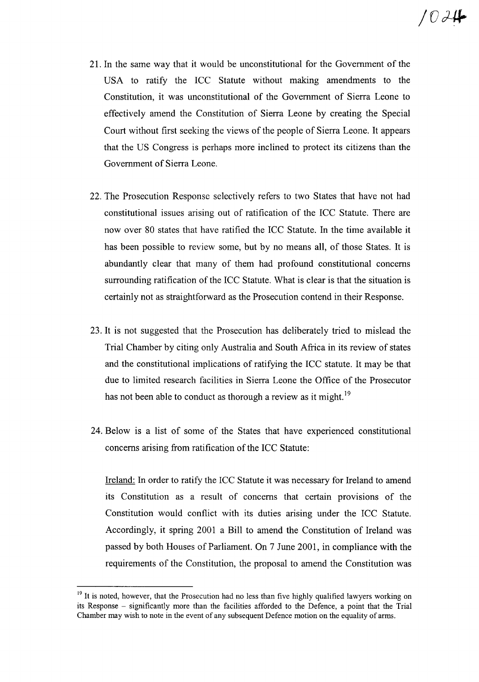- 21. In the same way that it would be unconstitutional for the Government of the USA to ratify the ICC Statute without making amendments to the Constitution, it was unconstitutional of the Government of Sierra Leone to effectively amend the Constitution of Sierra Leone by creating the Special Court without first seeking the views of the people of Sierra Leone. It appears that the US Congress is perhaps more inclined to protect its citizens than the Government of Sierra Leone.
- 22. The Prosecution Response selectively refers to two States that have not had constitutional issues arising out of ratification of the ICC Statute. There are now over 80 states that have ratified the ICC Statute. In the time available it has been possible to review some, but by no means all, of those States. It is abundantly clear that many of them had profound constitutional concerns surrounding ratification of the ICC Statute. What is clear is that the situation is certainly not as straightforward as the Prosecution contend in their Response.
- 23. It is not suggested that the Prosecution has deliberately tried to mislead the Trial Chamber by citing only Australia and South Africa in its review of states and the constitutional implications of ratifying the ICC statute. It may be that due to limited research facilities in Sierra Leone the Office of the Prosecutor has not been able to conduct as thorough a review as it might.<sup>19</sup>
- 24. Below is a list of some of the States that have experienced constitutional concerns arising from ratification of the ICC Statute:

Ireland: In order to ratify the ICC Statute it was necessary for Ireland to amend its Constitution as a result of concerns that certain provisions of the Constitution would conflict with its duties arising under the ICC Statute. Accordingly, it spring 2001 a Bill to amend the Constitution of Ireland was passed by both Houses of Parliament. On 7 June 2001, in compliance with the requirements of the Constitution, the proposal to amend the Constitution was

<sup>&</sup>lt;sup>19</sup> It is noted, however, that the Prosecution had no less than five highly qualified lawyers working on its Response - significantly more than the facilities afforded to the Defence, a point that the Trial Chamber may wish to note in the event of any subsequent Defence motion on the equality of arms.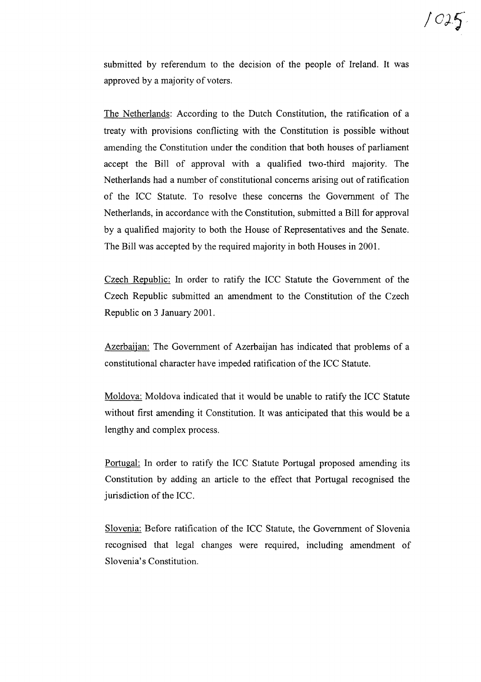

submitted by referendum to the decision of the people of Ireland. It was approved by a majority of voters.

The Netherlands: According to the Dutch Constitution, the ratification of a treaty with provisions conflicting with the Constitution is possible without amending the Constitution under the condition that both houses of parliament accept the Bill of approval with a qualified two-third majority. The Netherlands had a number of constitutional concerns arising out ofratification of the ICC Statute. To resolve these concerns the Government of The Netherlands, in accordance with the Constitution, submitted a Bill for approval by a qualified majority to both the House of Representatives and the Senate. The Bill was accepted by the required majority in both Houses in 2001.

Czech Republic: In order to ratify the ICC Statute the Government of the Czech Republic submitted an amendment to the Constitution of the Czech Republic on 3 January 2001.

Azerbaijan: The Government of Azerbaijan has indicated that problems of a constitutional character have impeded ratification of the ICC Statute.

Moldova: Moldova indicated that it would be unable to ratify the ICC Statute without first amending it Constitution. It was anticipated that this would be a lengthy and complex process.

Portugal: In order to ratify the ICC Statute Portugal proposed amending its Constitution by adding an article to the effect that Portugal recognised the jurisdiction of the ICC.

Slovenia: Before ratification of the ICC Statute, the Government of Slovenia recognised that legal changes were required, including amendment of Slovenia's Constitution.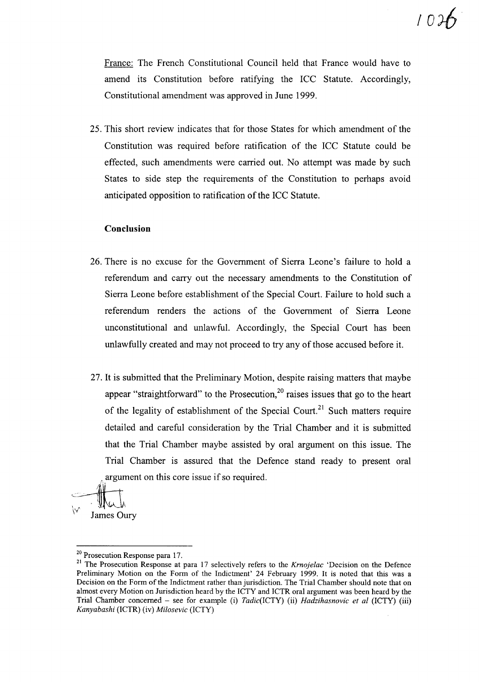France: The French Constitutional Council held that France would have to amend its Constitution before ratifying the ICC Statute. Accordingly, Constitutional amendment was approved in June 1999.

25. This short review indicates that for those States for which amendment of the Constitution was required before ratification of the ICC Statute could be effected, such amendments were carried out. No attempt was made by such States to side step the requirements of the Constitution to perhaps avoid anticipated opposition to ratification of the ICC Statute.

#### **Conclusion**

- 26. There is no excuse for the Government of Sierra Leone's failure to hold a referendum and carry out the necessary amendments to the Constitution of Sierra Leone before establishment of the Special Court. Failure to hold such a referendum renders the actions of the Government of Sierra Leone unconstitutional and unlawful. Accordingly, the Special Court has been unlawfully created and may not proceed to try any of those accused before it.
- 27. It is submitted that the Preliminary Motion, despite raising matters that maybe appear "straightforward" to the Prosecution,  $20$  raises issues that go to the heart of the legality of establishment of the Special Court.<sup>21</sup> Such matters require detailed and careful consideration by the Trial Chamber and it is submitted that the Trial Chamber maybe assisted by oral argument on this issue. The Trial Chamber is assured that the Defence stand ready to present oral argument on this core issue if so required.

~~*\"1'* James Oury

<sup>20</sup> Prosecution Response para 17.

<sup>21</sup> The Prosecution Response at para 17 selectively refers to the *Krnojelac* 'Decision on the Defence Preliminary Motion on the Form of the Indictment' 24 February 1999. It is noted that this was a Decision on the Form of the Indictment rather than jurisdiction. The Trial Chamber should note that on almost every Motion on Jurisdiction heard by the ICTY and ICTR oral argument was been heard by the Trial Chamber concerned - see for example (i) *Tadic(ICTY)* (ii) *Hadzihasnovic et at* (ICTY) (iii) *Kanyabashi* (ICTR) (iv) *Milosevic* (ICTY)